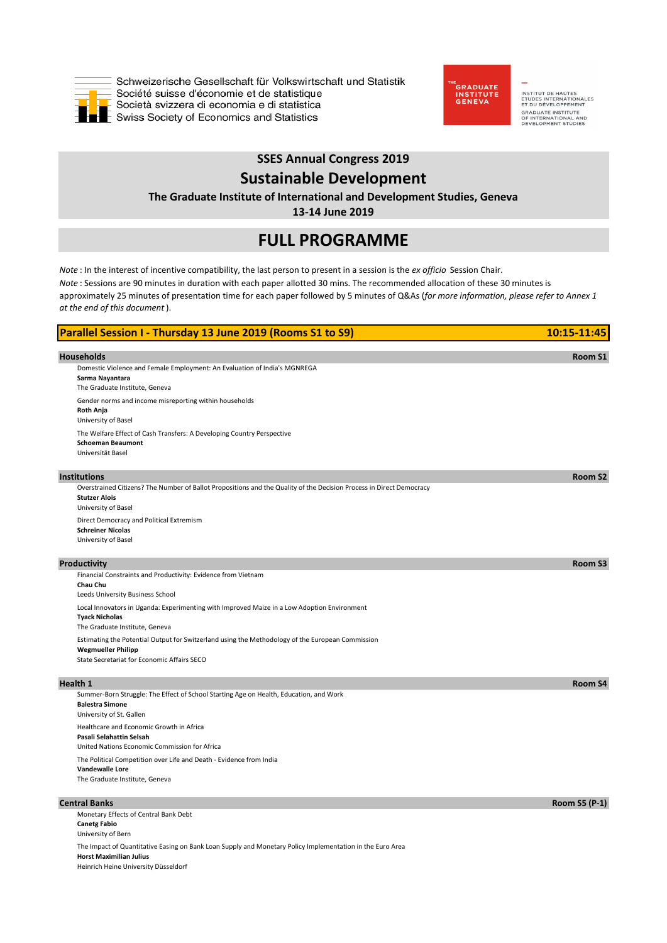

Schweizerische Gesellschaft für Volkswirtschaft und Statistik Société suisse d'économie et de statistique Società svizzera di economia e di statistica  $\blacksquare$  Swiss Society of Economics and Statistics



INSTITUT DE HAUTES<br>ÉTUDES INTERNATIONALES<br>ET DU DÉVELOPPEMENT **CONSUMER SERVICE IN STRAIN**<br>**OF INTERNATIONAL AND<br>DEVELOPMENT STUDIES** 

# **SSES Annual Congress 2019 Sustainable Development**

# **The Graduate Institute of International and Development Studies, Geneva**

**13-14 June 2019**

# **FULL PROGRAMME**

*Note* : In the interest of incentive compatibility, the last person to present in a session is the *ex officio* Session Chair. *Note* : Sessions are 90 minutes in duration with each paper allotted 30 mins. The recommended allocation of these 30 minutes is approximately 25 minutes of presentation time for each paper followed by 5 minutes of Q&As (*for more information, please refer to Annex 1 at the end of this document* ).

| Parallel Session I - Thursday 13 June 2019 (Rooms S1 to S9)                                                                                                                  | 10:15-11:45          |
|------------------------------------------------------------------------------------------------------------------------------------------------------------------------------|----------------------|
| <b>Households</b><br>Domestic Violence and Female Employment: An Evaluation of India's MGNREGA<br>Sarma Nayantara<br>The Graduate Institute, Geneva                          | Room S1              |
| Gender norms and income misreporting within households<br>Roth Anja<br>University of Basel                                                                                   |                      |
| The Welfare Effect of Cash Transfers: A Developing Country Perspective<br><b>Schoeman Beaumont</b><br>Universität Basel                                                      |                      |
| <b>Institutions</b>                                                                                                                                                          | Room S2              |
| Overstrained Citizens? The Number of Ballot Propositions and the Quality of the Decision Process in Direct Democracy<br><b>Stutzer Alois</b><br>University of Basel          |                      |
| Direct Democracy and Political Extremism<br><b>Schreiner Nicolas</b><br>University of Basel                                                                                  |                      |
| Productivity                                                                                                                                                                 | Room S3              |
| Financial Constraints and Productivity: Evidence from Vietnam<br>Chau Chu<br>Leeds University Business School                                                                |                      |
| Local Innovators in Uganda: Experimenting with Improved Maize in a Low Adoption Environment<br><b>Tyack Nicholas</b><br>The Graduate Institute, Geneva                       |                      |
| Estimating the Potential Output for Switzerland using the Methodology of the European Commission<br><b>Wegmueller Philipp</b><br>State Secretariat for Economic Affairs SECO |                      |
| <b>Health 1</b>                                                                                                                                                              | Room S4              |
| Summer-Born Struggle: The Effect of School Starting Age on Health, Education, and Work<br><b>Balestra Simone</b><br>University of St. Gallen                                 |                      |
| Healthcare and Economic Growth in Africa<br>Pasali Selahattin Selsah<br>United Nations Economic Commission for Africa                                                        |                      |
| The Political Competition over Life and Death - Evidence from India<br>Vandewalle Lore<br>The Graduate Institute, Geneva                                                     |                      |
| <b>Central Banks</b>                                                                                                                                                         | <b>Room S5 (P-1)</b> |
| Monetary Effects of Central Bank Debt<br><b>Canetg Fabio</b><br>University of Bern                                                                                           |                      |

The Impact of Quantitative Easing on Bank Loan Supply and Monetary Policy Implementation in the Euro Area **Horst Maximilian Julius** Heinrich Heine University Düsseldorf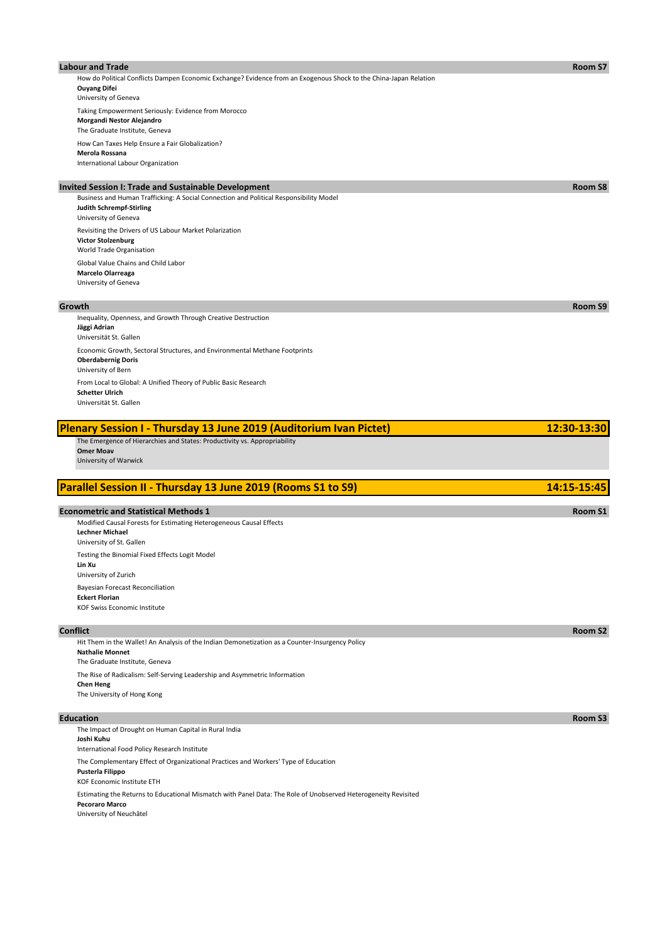### **Labour and Trade Room S7**

How do Political Conflicts Dampen Economic Exchange? Evidence from an Exogenous Shock to the China-Japan Relation **Ouyang Difei** University of Geneva Taking Empowerment Seriously: Evidence from Morocco **Morgandi Nestor Alejandro** The Graduate Institute, Geneva

How Can Taxes Help Ensure a Fair Globalization? **Merola Rossana** International Labour Organization

# **Invited Session I: Trade and Sustainable Development Room S8**

Business and Human Trafficking: A Social Connection and Political Responsibility Model **Judith Schrempf-Stirling** University of Geneva Revisiting the Drivers of US Labour Market Polarization **Victor Stolzenburg** World Trade Organisation Global Value Chains and Child Labor **Marcelo Olarreaga** University of Geneva

Inequality, Openness, and Growth Through Creative Destruction **Jäggi Adrian** Universität St. Gallen Economic Growth, Sectoral Structures, and Environmental Methane Footprints **Oberdabernig Doris** University of Bern From Local to Global: A Unified Theory of Public Basic Research **Schetter Ulrich** Universität St. Gallen

| Plenary Session I - Thursday 13 June 2019 (Auditorium Ivan Pictet)        | 12:30-13:30   |
|---------------------------------------------------------------------------|---------------|
| The Emergence of Hierarchies and States: Productivity vs. Appropriability |               |
| <b>Omer Moav</b>                                                          |               |
| University of Warwick                                                     |               |
|                                                                           |               |
| Parallel Session II - Thursday 13 June 2019 (Rooms S1 to S9)              | $14:15-15:45$ |

### **Econometric and Statistical Methods 1 Room S1 Room S1**

Bayesian Forecast Reconciliation **Eckert Florian** KOF Swiss Economic Institute Modified Causal Forests for Estimating Heterogeneous Causal Effects **Lechner Michael** University of St. Gallen Testing the Binomial Fixed Effects Logit Model **Lin Xu** University of Zurich

Hit Them in the Wallet! An Analysis of the Indian Demonetization as a Counter-Insurgency Policy **Nathalie Monnet** The Graduate Institute, Geneva The Rise of Radicalism: Self-Serving Leadership and Asymmetric Information **Chen Heng** The University of Hong Kong

The Impact of Drought on Human Capital in Rural India **Joshi Kuhu** International Food Policy Research Institute The Complementary Effect of Organizational Practices and Workers' Type of Education **Pusterla Filippo** KOF Economic Institute ETH Estimating the Returns to Educational Mismatch with Panel Data: The Role of Unobserved Heterogeneity Revisited **Pecoraro Marco** University of Neuchâtel

**Growth Room S9**

**Conflict Room S2**

**Education Room S3**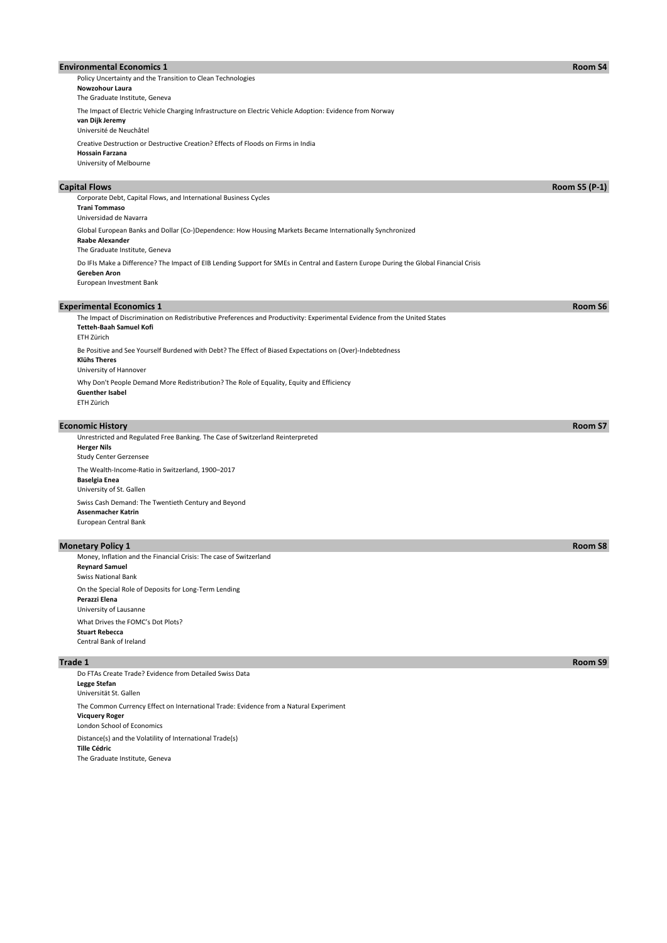### **Environmental Economics 1 Room S4**

Creative Destruction or Destructive Creation? Effects of Floods on Firms in India **Hossain Farzana** Policy Uncertainty and the Transition to Clean Technologies **Nowzohour Laura** The Graduate Institute, Geneva The Impact of Electric Vehicle Charging Infrastructure on Electric Vehicle Adoption: Evidence from Norway **van Dijk Jeremy** Université de Neuchâtel

University of Melbourne

Do IFIs Make a Difference? The Impact of EIB Lending Support for SMEs in Central and Eastern Europe During the Global Financial Crisis **Gereben Aron** Corporate Debt, Capital Flows, and International Business Cycles **Trani Tommaso** Universidad de Navarra Global European Banks and Dollar (Co-)Dependence: How Housing Markets Became Internationally Synchronized **Raabe Alexander** The Graduate Institute, Geneva

European Investment Bank

### **Experimental Economics 1 Room S6** Be Positive and See Yourself Burdened with Debt? The Effect of Biased Expectations on (Over)-Indebtedness **Klühs Theres** University of Hannover The Impact of Discrimination on Redistributive Preferences and Productivity: Experimental Evidence from the United States **Tetteh-Baah Samuel Kofi** ETH Zürich

Why Don't People Demand More Redistribution? The Role of Equality, Equity and Efficiency **Guenther Isabel** ETH Zürich

## **Economic History Room S7**

Swiss Cash Demand: The Twentieth Century and Beyond **Assenmacher Katrin** European Central Bank Unrestricted and Regulated Free Banking. The Case of Switzerland Reinterpreted **Herger Nils** Study Center Gerzensee The Wealth-Income-Ratio in Switzerland, 1900–2017 **Baselgia Enea** University of St. Gallen

## **Monetary Policy 1 Room S8**

What Drives the FOMC's Dot Plots? **Stuart Rebecca** Central Bank of Ireland On the Special Role of Deposits for Long-Term Lending **Perazzi Elena** University of Lausanne Money, Inflation and the Financial Crisis: The case of Switzerland **Reynard Samuel** Swiss National Bank

Distance(s) and the Volatility of International Trade(s) **Tille Cédric** The Graduate Institute, Geneva The Common Currency Effect on International Trade: Evidence from a Natural Experiment **Vicquery Roger** London School of Economics Do FTAs Create Trade? Evidence from Detailed Swiss Data **Legge Stefan** Universität St. Gallen

**Capital Flows Room S5 (P-1)**

**Trade 1 Room S9**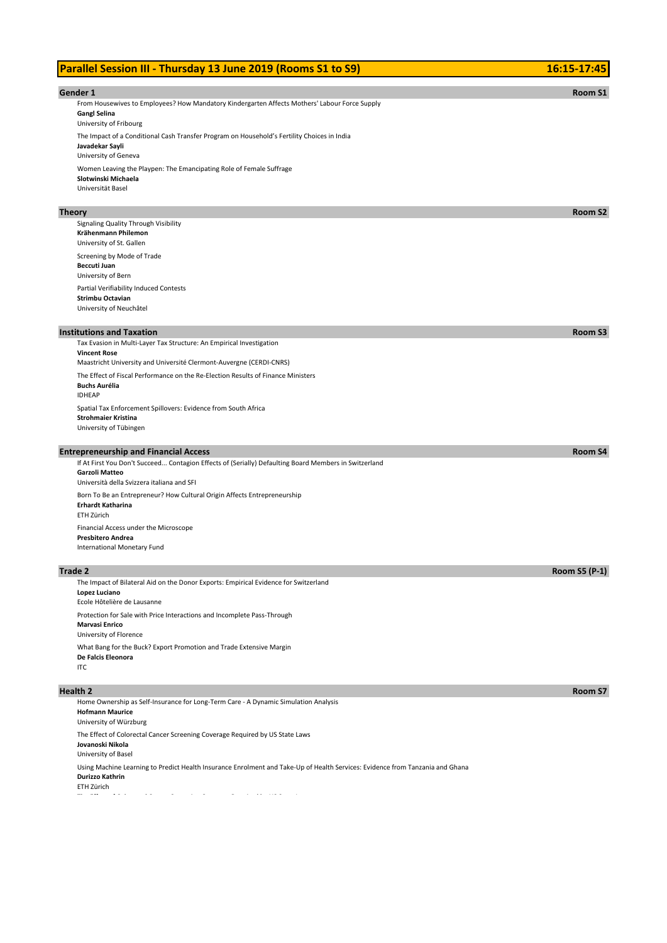# **Parallel Session III - Thursday 13 June 2019 (Rooms S1 to S9) 16:16 18:16 17:45**

| Gender 1                                                                                                                                              | <b>Room S1</b>       |
|-------------------------------------------------------------------------------------------------------------------------------------------------------|----------------------|
| From Housewives to Employees? How Mandatory Kindergarten Affects Mothers' Labour Force Supply                                                         |                      |
| <b>Gangl Selina</b>                                                                                                                                   |                      |
| University of Fribourg                                                                                                                                |                      |
| The Impact of a Conditional Cash Transfer Program on Household's Fertility Choices in India                                                           |                      |
| Javadekar Sayli<br>University of Geneva                                                                                                               |                      |
| Women Leaving the Playpen: The Emancipating Role of Female Suffrage                                                                                   |                      |
| Slotwinski Michaela                                                                                                                                   |                      |
| Universität Basel                                                                                                                                     |                      |
|                                                                                                                                                       |                      |
| Theory                                                                                                                                                | Room S2              |
| Signaling Quality Through Visibility<br>Krähenmann Philemon                                                                                           |                      |
| University of St. Gallen                                                                                                                              |                      |
| Screening by Mode of Trade                                                                                                                            |                      |
| Beccuti Juan                                                                                                                                          |                      |
| University of Bern                                                                                                                                    |                      |
| Partial Verifiability Induced Contests                                                                                                                |                      |
| Strimbu Octavian<br>University of Neuchâtel                                                                                                           |                      |
|                                                                                                                                                       |                      |
| <b>Institutions and Taxation</b>                                                                                                                      | Room S3              |
| Tax Evasion in Multi-Layer Tax Structure: An Empirical Investigation                                                                                  |                      |
| <b>Vincent Rose</b>                                                                                                                                   |                      |
| Maastricht University and Université Clermont-Auvergne (CERDI-CNRS)                                                                                   |                      |
| The Effect of Fiscal Performance on the Re-Election Results of Finance Ministers<br><b>Buchs Aurélia</b>                                              |                      |
| <b>IDHEAP</b>                                                                                                                                         |                      |
| Spatial Tax Enforcement Spillovers: Evidence from South Africa                                                                                        |                      |
| <b>Strohmaier Kristina</b>                                                                                                                            |                      |
| University of Tübingen                                                                                                                                |                      |
|                                                                                                                                                       | Room S4              |
| <b>Entrepreneurship and Financial Access</b><br>If At First You Don't Succeed Contagion Effects of (Serially) Defaulting Board Members in Switzerland |                      |
| <b>Garzoli Matteo</b>                                                                                                                                 |                      |
| Università della Svizzera italiana and SFI                                                                                                            |                      |
| Born To Be an Entrepreneur? How Cultural Origin Affects Entrepreneurship                                                                              |                      |
| Erhardt Katharina                                                                                                                                     |                      |
| ETH Zürich                                                                                                                                            |                      |
| Financial Access under the Microscope<br><b>Presbitero Andrea</b>                                                                                     |                      |
| International Monetary Fund                                                                                                                           |                      |
|                                                                                                                                                       |                      |
| Trade 2                                                                                                                                               | <b>Room S5 (P-1)</b> |
| The Impact of Bilateral Aid on the Donor Exports: Empirical Evidence for Switzerland                                                                  |                      |
| Lopez Luciano<br>Ecole Hôtelière de Lausanne                                                                                                          |                      |
| Protection for Sale with Price Interactions and Incomplete Pass-Through                                                                               |                      |
| Marvasi Enrico                                                                                                                                        |                      |
| University of Florence                                                                                                                                |                      |
| What Bang for the Buck? Export Promotion and Trade Extensive Margin                                                                                   |                      |
| De Falcis Eleonora                                                                                                                                    |                      |
| <b>ITC</b>                                                                                                                                            |                      |
| Health 2                                                                                                                                              | Room S7              |
| Home Ownership as Self-Insurance for Long-Term Care - A Dynamic Simulation Analysis                                                                   |                      |
| <b>Hofmann Maurice</b>                                                                                                                                |                      |
| University of Würzburg                                                                                                                                |                      |
| The Effect of Colorectal Cancer Screening Coverage Required by US State Laws                                                                          |                      |
| Jovanoski Nikola<br>University of Basel                                                                                                               |                      |
| Using Machine Learning to Predict Health Insurance Enrolment and Take-Up of Health Services: Evidence from Tanzania and Ghana                         |                      |
| Durizzo Kathrin                                                                                                                                       |                      |
| ETH Zürich<br>$\sim$<br>$\sim$                                                                                                                        |                      |
| $\sigma_{\rm{eff}}=0.1$<br>$\sim$ $\sim$<br>$\alpha$ , and $\alpha$ , and $\alpha$<br>$\sim$                                                          |                      |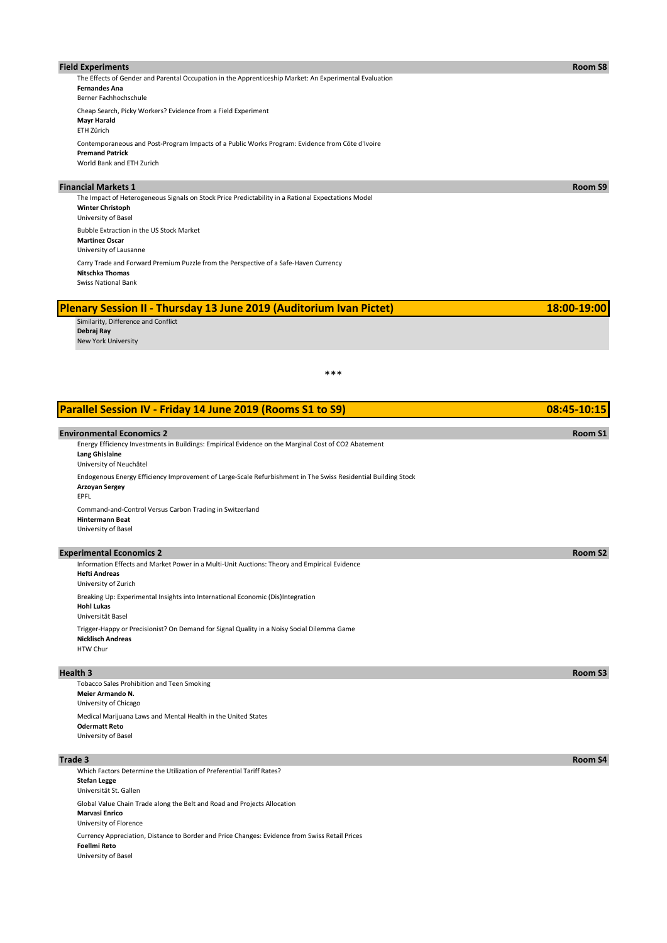| <b>Field Experiments</b>                                                                                                                                | Room S8 |
|---------------------------------------------------------------------------------------------------------------------------------------------------------|---------|
| The Effects of Gender and Parental Occupation in the Apprenticeship Market: An Experimental Evaluation<br><b>Fernandes Ana</b><br>Berner Fachhochschule |         |
| Cheap Search, Picky Workers? Evidence from a Field Experiment<br><b>Mayr Harald</b><br>ETH Zürich                                                       |         |
| Contemporaneous and Post-Program Impacts of a Public Works Program: Evidence from Côte d'Ivoire<br><b>Premand Patrick</b><br>World Bank and ETH Zurich  |         |
| <b>Financial Markets 1</b>                                                                                                                              | Room S9 |
| The Impact of Heterogeneous Signals on Stock Price Predictability in a Rational Expectations Model<br><b>Winter Christoph</b><br>University of Basel    |         |
| Bubble Extraction in the US Stock Market<br><b>Martinez Oscar</b>                                                                                       |         |

University of Lausanne Carry Trade and Forward Premium Puzzle from the Perspective of a Safe-Haven Currency **Nitschka Thomas**

Swiss National Bank

| <b>Plenary Session II - Thursday 13 June 2019 (Auditorium Ivan Pictet)</b> | 18:00-19:00 |
|----------------------------------------------------------------------------|-------------|
| Similarity, Difference and Conflict                                        |             |
| Debrai Rav                                                                 |             |
| New York University                                                        |             |

\*\*\*

| Parallel Session IV - Friday 14 June 2019 (Rooms S1 to S9)                                                                                               | 08:45-10:15         |
|----------------------------------------------------------------------------------------------------------------------------------------------------------|---------------------|
| <b>Environmental Economics 2</b>                                                                                                                         | Room S1             |
| Energy Efficiency Investments in Buildings: Empirical Evidence on the Marginal Cost of CO2 Abatement<br><b>Lang Ghislaine</b><br>University of Neuchâtel |                     |
| Endogenous Energy Efficiency Improvement of Large-Scale Refurbishment in The Swiss Residential Building Stock<br><b>Arzoyan Sergey</b><br>EPFL           |                     |
| Command-and-Control Versus Carbon Trading in Switzerland<br><b>Hintermann Beat</b><br>University of Basel                                                |                     |
| <b>Experimental Economics 2</b>                                                                                                                          | Room S <sub>2</sub> |
| Information Effects and Market Power in a Multi-Unit Auctions: Theory and Empirical Evidence<br><b>Hefti Andreas</b><br>University of Zurich             |                     |
| Breaking Up: Experimental Insights into International Economic (Dis)Integration<br><b>Hohl Lukas</b><br>Universität Basel                                |                     |
| Trigger-Happy or Precisionist? On Demand for Signal Quality in a Noisy Social Dilemma Game<br><b>Nicklisch Andreas</b><br>HTW Chur                       |                     |
| <b>Health 3</b>                                                                                                                                          | Room S3             |
| Tobacco Sales Prohibition and Teen Smoking<br><b>Meier Armando N.</b><br>University of Chicago                                                           |                     |
| Medical Marijuana Laws and Mental Health in the United States<br><b>Odermatt Reto</b><br>University of Basel                                             |                     |
| Trade 3                                                                                                                                                  | Room S4             |
| Which Factors Determine the Utilization of Preferential Tariff Rates?                                                                                    |                     |

Currency Appreciation, Distance to Border and Price Changes: Evidence from Swiss Retail Prices **Foellmi Reto** University of Basel **Stefan Legge** Universität St. Gallen Global Value Chain Trade along the Belt and Road and Projects Allocation **Marvasi Enrico** University of Florence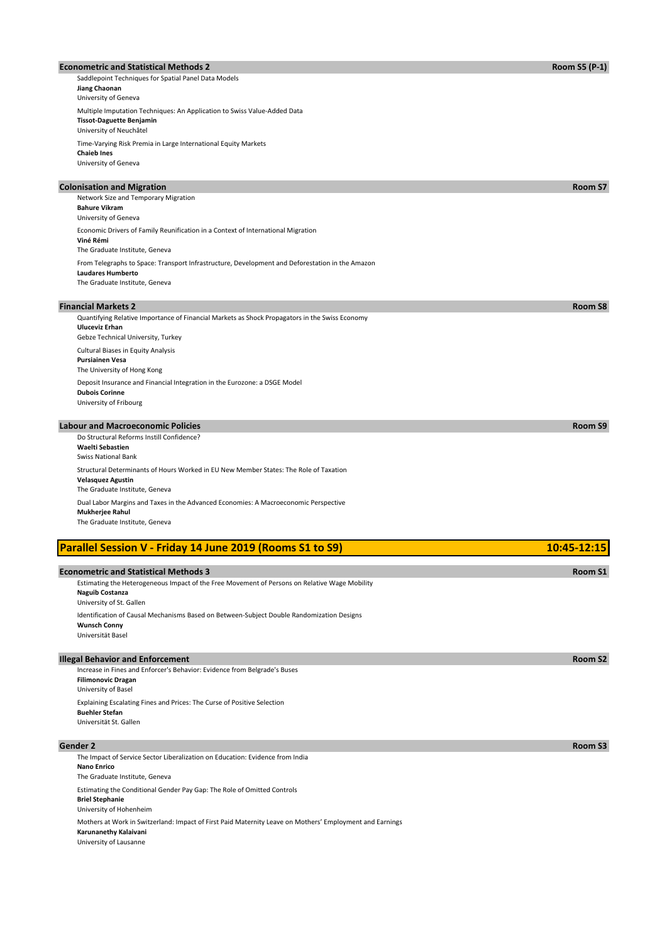### **Econometric and Statistical Methods 2 Room S5 (P-1) Room S5 (P-1) Room S5 (P-1)**

Saddlepoint Techniques for Spatial Panel Data Models **Jiang Chaonan** University of Geneva Multiple Imputation Techniques: An Application to Swiss Value-Added Data **Tissot-Daguette Benjamin** University of Neuchâtel Time-Varying Risk Premia in Large International Equity Markets **Chaieb Ines**

University of Geneva

## **Colonisation and Migration Room S7 Financial Markets 2 Room S8** Quantifying Relative Importance of Financial Markets as Shock Propagators in the Swiss Economy **Uluceviz Erhan** Gebze Technical University, Turkey From Telegraphs to Space: Transport Infrastructure, Development and Deforestation in the Amazon **Laudares Humberto** The Graduate Institute, Geneva Network Size and Temporary Migration **Bahure Vikram** University of Geneva Economic Drivers of Family Reunification in a Context of International Migration **Viné Rémi** The Graduate Institute, Geneva

Deposit Insurance and Financial Integration in the Eurozone: a DSGE Model **Dubois Corinne** University of Fribourg Cultural Biases in Equity Analysis **Pursiainen Vesa** The University of Hong Kong

### **Labour and Macroeconomic Policies Room S9**

Structural Determinants of Hours Worked in EU New Member States: The Role of Taxation **Velasquez Agustin** The Graduate Institute, Geneva Do Structural Reforms Instill Confidence? **Waelti Sebastien** Swiss National Bank Dual Labor Margins and Taxes in the Advanced Economies: A Macroeconomic Perspective **Mukherjee Rahul** The Graduate Institute, Geneva

| Parallel Session V - Friday 14 June 2019 (Rooms S1 to S9) | 10:45-12:15 |
|-----------------------------------------------------------|-------------|
|-----------------------------------------------------------|-------------|

### **Econometric and Statistical Methods 3 Room S1 Room S1**

Identification of Causal Mechanisms Based on Between-Subject Double Randomization Designs **Wunsch Conny** Estimating the Heterogeneous Impact of the Free Movement of Persons on Relative Wage Mobility **Naguib Costanza** University of St. Gallen

Universität Basel

### **Illegal Behavior and Enforcement Room S2**

Increase in Fines and Enforcer's Behavior: Evidence from Belgrade's Buses **Filimonovic Dragan** University of Basel Explaining Escalating Fines and Prices: The Curse of Positive Selection **Buehler Stefan** Universität St. Gallen

**Gender 2 Room S3**

Mothers at Work in Switzerland: Impact of First Paid Maternity Leave on Mothers' Employment and Earnings **Karunanethy Kalaivani** University of Lausanne Estimating the Conditional Gender Pay Gap: The Role of Omitted Controls **Briel Stephanie** University of Hohenheim The Impact of Service Sector Liberalization on Education: Evidence from India **Nano Enrico** The Graduate Institute, Geneva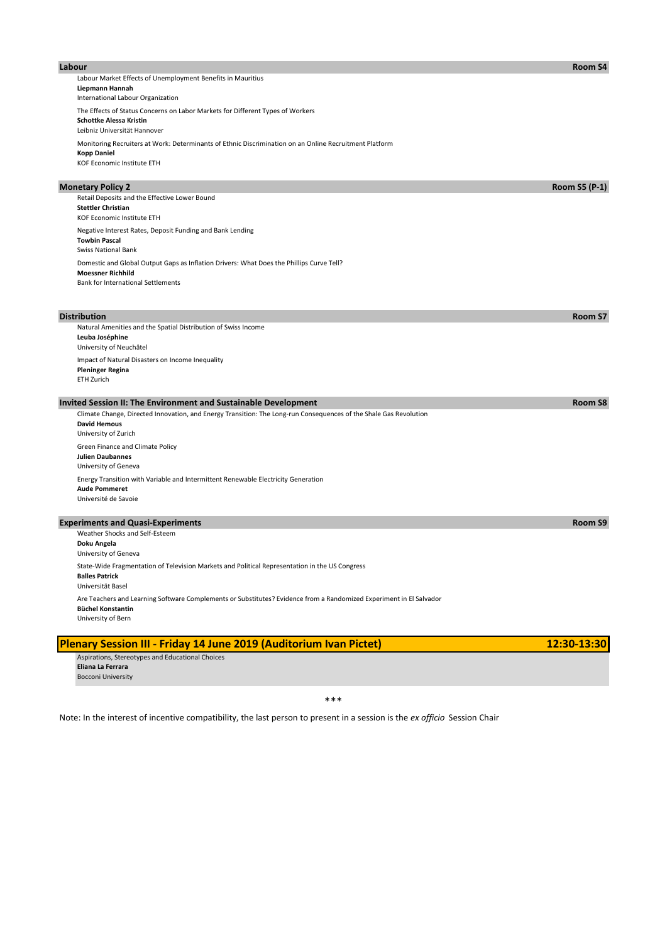| Labour Market Effects of Unemployment Benefits in Mauritius<br>Liepmann Hannah                                                                  |                      |
|-------------------------------------------------------------------------------------------------------------------------------------------------|----------------------|
| International Labour Organization                                                                                                               |                      |
| The Effects of Status Concerns on Labor Markets for Different Types of Workers                                                                  |                      |
| <b>Schottke Alessa Kristin</b><br>Leibniz Universität Hannover                                                                                  |                      |
| Monitoring Recruiters at Work: Determinants of Ethnic Discrimination on an Online Recruitment Platform                                          |                      |
| <b>Kopp Daniel</b>                                                                                                                              |                      |
| KOF Economic Institute ETH                                                                                                                      |                      |
| <b>Monetary Policy 2</b>                                                                                                                        | <b>Room S5 (P-1)</b> |
| Retail Deposits and the Effective Lower Bound                                                                                                   |                      |
| <b>Stettler Christian</b><br>KOF Economic Institute ETH                                                                                         |                      |
| Negative Interest Rates, Deposit Funding and Bank Lending                                                                                       |                      |
| <b>Towbin Pascal</b>                                                                                                                            |                      |
| <b>Swiss National Bank</b><br>Domestic and Global Output Gaps as Inflation Drivers: What Does the Phillips Curve Tell?                          |                      |
| <b>Moessner Richhild</b>                                                                                                                        |                      |
| <b>Bank for International Settlements</b>                                                                                                       |                      |
|                                                                                                                                                 |                      |
| <b>Distribution</b>                                                                                                                             | Room S7              |
| Natural Amenities and the Spatial Distribution of Swiss Income                                                                                  |                      |
| Leuba Joséphine                                                                                                                                 |                      |
| University of Neuchâtel<br>Impact of Natural Disasters on Income Inequality                                                                     |                      |
| <b>Pleninger Regina</b>                                                                                                                         |                      |
| ETH Zurich                                                                                                                                      |                      |
| Invited Session II: The Environment and Sustainable Development                                                                                 | Room S8              |
| Climate Change, Directed Innovation, and Energy Transition: The Long-run Consequences of the Shale Gas Revolution                               |                      |
| <b>David Hemous</b>                                                                                                                             |                      |
| University of Zurich                                                                                                                            |                      |
| Green Finance and Climate Policy<br><b>Julien Daubannes</b>                                                                                     |                      |
| University of Geneva                                                                                                                            |                      |
| Energy Transition with Variable and Intermittent Renewable Electricity Generation                                                               |                      |
| <b>Aude Pommeret</b><br>Université de Savoie                                                                                                    |                      |
|                                                                                                                                                 |                      |
| <b>Experiments and Quasi-Experiments</b>                                                                                                        | Room S9              |
| Weather Shocks and Self-Esteem                                                                                                                  |                      |
| Doku Angela<br>University of Geneva                                                                                                             |                      |
| State-Wide Fragmentation of Television Markets and Political Representation in the US Congress                                                  |                      |
| <b>Balles Patrick</b>                                                                                                                           |                      |
| Universität Basel                                                                                                                               |                      |
| Are Teachers and Learning Software Complements or Substitutes? Evidence from a Randomized Experiment in El Salvador<br><b>Büchel Konstantin</b> |                      |
| University of Bern                                                                                                                              |                      |

**Labour Room S4**

| <b>Plenary Session III - Friday 14 June 2019 (Auditorium Ivan Pictet)</b> | $12:30-13:30$ |
|---------------------------------------------------------------------------|---------------|
| Aspirations, Stereotypes and Educational Choices                          |               |
| Eliana La Ferrara                                                         |               |
| <b>Bocconi University</b>                                                 |               |
|                                                                           |               |

\*\*\*

Note: In the interest of incentive compatibility, the last person to present in a session is the *ex officio* Session Chair